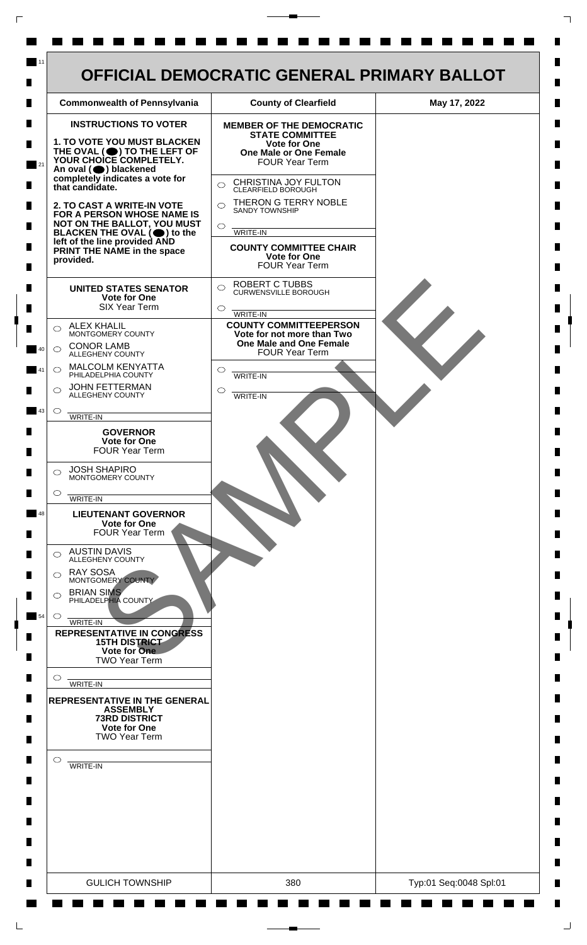

 $\mathsf{L}$ 

 $\Box$